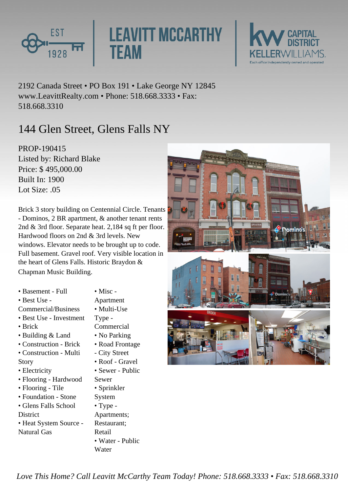

**LEAVITT MCCARTHY TEAM** 



2192 Canada Street • PO Box 191 • Lake George NY 12845 www.LeavittRealty.com • Phone: 518.668.3333 • Fax: 518.668.3310

## 144 Glen Street, Glens Falls NY

PROP-190415 Listed by: Richard Blake Price: \$ 495,000.00 Built In: 1900 Lot Size:  $05$ 

Brick 3 story building on Centennial Circle. Tenants - Dominos, 2 BR apartment, & another tenant rents 2nd & 3rd floor. Separate heat. 2,184 sq ft per floor. Hardwood floors on 2nd & 3rd levels. New windows. Elevator needs to be brought up to code. Full basement. Gravel roof. Very visible location in the heart of Glens Falls. Historic Braydon & Chapman Music Building.

- Basement Full
- Best Use -
- Commercial/Business
- Best Use Investment
- Brick
- Building & Land
- Construction Brick
- Construction Multi Story
- Electricity
- Flooring Hardwood
- Flooring Tile
- Foundation Stone • Glens Falls School
- **District**
- Heat System Source Natural Gas

Apartment

• Misc -

- Multi-Use
- Type -
- Commercial
- No Parking • Road Frontage
- City Street
- 
- Roof Gravel
- Sewer Public
- Sewer
- Sprinkler
- System
- Type -
- Apartments; Restaurant; Retail
- Water Public Water